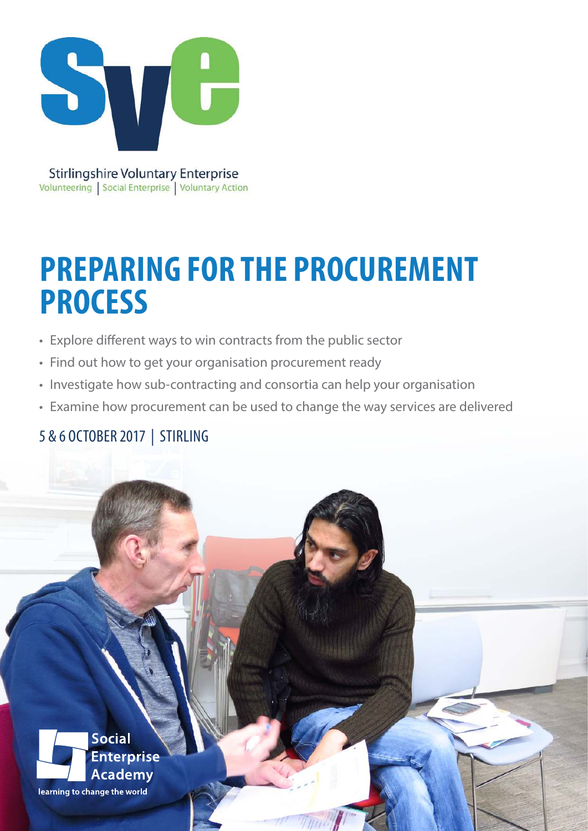

**Stirlingshire Voluntary Enterprise** Volunteering | Social Enterprise | Voluntary Action

# **PREPARING FOR THE PROCUREMENT PROCESS**

- Explore different ways to win contracts from the public sector
- Find out how to get your organisation procurement ready
- Investigate how sub-contracting and consortia can help your organisation
- Examine how procurement can be used to change the way services are delivered

## 5 & 6 OCTOBER 2017 | STIRLING